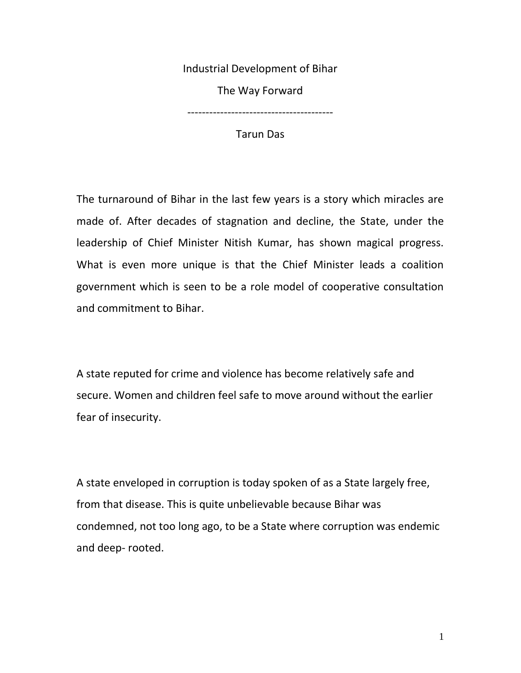Industrial Development of Bihar

The Way Forward

----------------------------------------

Tarun Das

The turnaround of Bihar in the last few years is a story which miracles are made of. After decades of stagnation and decline, the State, under the leadership of Chief Minister Nitish Kumar, has shown magical progress. What is even more unique is that the Chief Minister leads a coalition government which is seen to be a role model of cooperative consultation and commitment to Bihar.

A state reputed for crime and violence has become relatively safe and secure. Women and children feel safe to move around without the earlier fear of insecurity.

A state enveloped in corruption is today spoken of as a State largely free, from that disease. This is quite unbelievable because Bihar was condemned, not too long ago, to be a State where corruption was endemic and deep- rooted.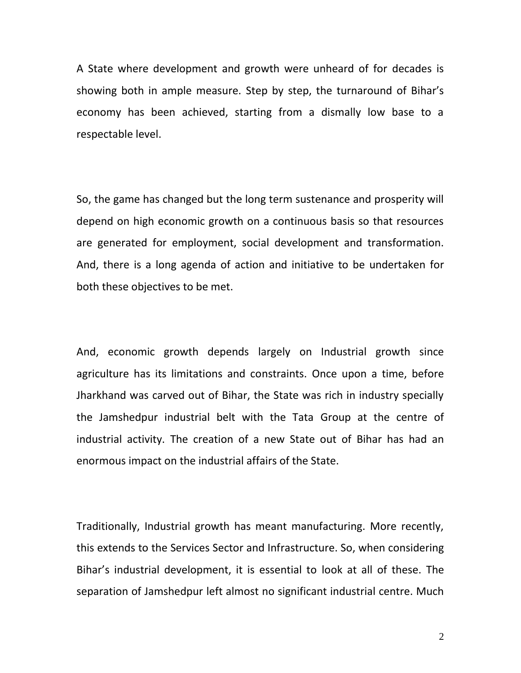A State where development and growth were unheard of for decades is showing both in ample measure. Step by step, the turnaround of Bihar's economy has been achieved, starting from a dismally low base to a respectable level.

So, the game has changed but the long term sustenance and prosperity will depend on high economic growth on a continuous basis so that resources are generated for employment, social development and transformation. And, there is a long agenda of action and initiative to be undertaken for both these objectives to be met.

And, economic growth depends largely on Industrial growth since agriculture has its limitations and constraints. Once upon a time, before Jharkhand was carved out of Bihar, the State was rich in industry specially the Jamshedpur industrial belt with the Tata Group at the centre of industrial activity. The creation of a new State out of Bihar has had an enormous impact on the industrial affairs of the State.

Traditionally, Industrial growth has meant manufacturing. More recently, this extends to the Services Sector and Infrastructure. So, when considering Bihar's industrial development, it is essential to look at all of these. The separation of Jamshedpur left almost no significant industrial centre. Much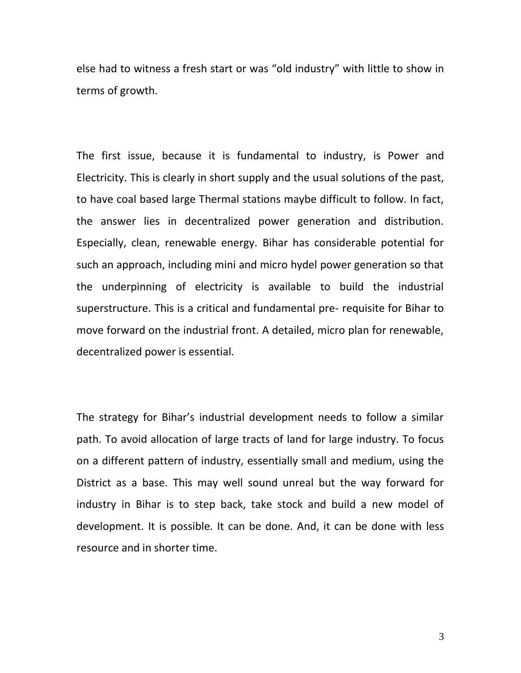else had to witness a fresh start or was "old industry" with little to show in terms of growth.

The first issue, because it is fundamental to industry, is Power and Electricity. This is clearly in short supply and the usual solutions of the past, to have coal based large Thermal stations maybe difficult to follow. In fact, the answer lies in decentralized power generation and distribution. Especially, clean, renewable energy. Bihar has considerable potential for such an approach, including mini and micro hydel power generation so that the underpinning of electricity is available to build the industrial superstructure. This is a critical and fundamental pre- requisite for Bihar to move forward on the industrial front. A detailed, micro plan for renewable, decentralized power is essential.

The strategy for Bihar's industrial development needs to follow a similar path. To avoid allocation of large tracts of land for large industry. To focus on a different pattern of industry, essentially small and medium, using the District as a base. This may well sound unreal but the way forward for industry in Bihar is to step back, take stock and build a new model of development. It is possible. It can be done. And, it can be done with less resource and in shorter time.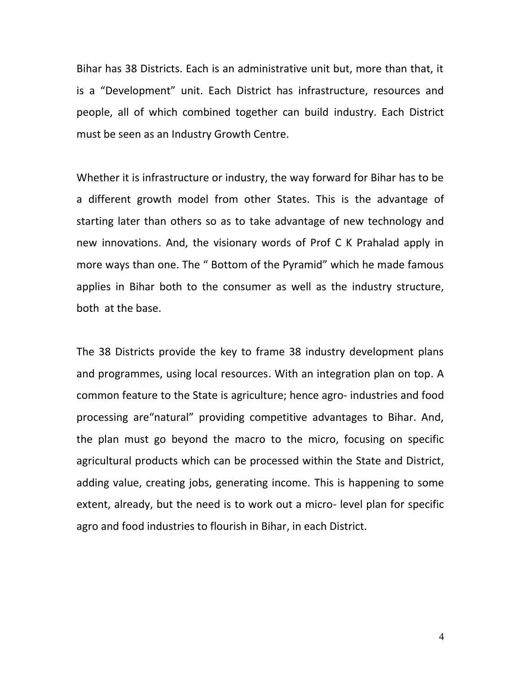Bihar has 38 Districts. Each is an administrative unit but, more than that, it is a "Development" unit. Each District has infrastructure, resources and people, all of which combined together can build industry. Each District must be seen as an Industry Growth Centre.

Whether it is infrastructure or industry, the way forward for Bihar has to be a different growth model from other States. This is the advantage of starting later than others so as to take advantage of new technology and new innovations. And, the visionary words of Prof C K Prahalad apply in more ways than one. The " Bottom of the Pyramid" which he made famous applies in Bihar both to the consumer as well as the industry structure, both at the base.

The 38 Districts provide the key to frame 38 industry development plans and programmes, using local resources. With an integration plan on top. A common feature to the State is agriculture; hence agro- industries and food processing are"natural" providing competitive advantages to Bihar. And, the plan must go beyond the macro to the micro, focusing on specific agricultural products which can be processed within the State and District, adding value, creating jobs, generating income. This is happening to some extent, already, but the need is to work out a micro- level plan for specific agro and food industries to flourish in Bihar, in each District.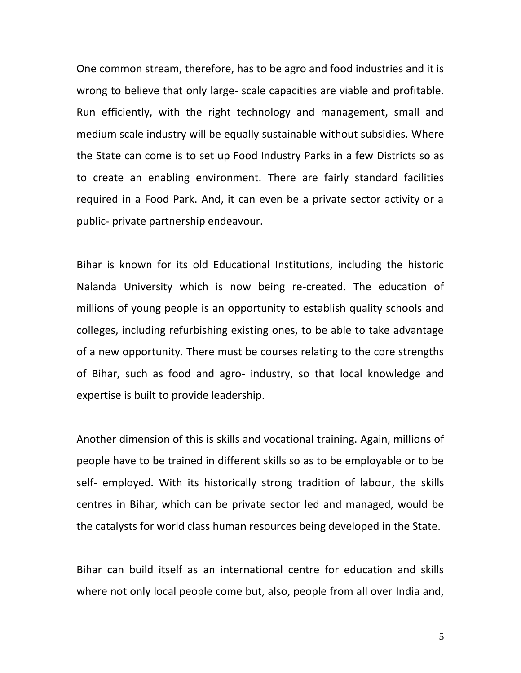One common stream, therefore, has to be agro and food industries and it is wrong to believe that only large- scale capacities are viable and profitable. Run efficiently, with the right technology and management, small and medium scale industry will be equally sustainable without subsidies. Where the State can come is to set up Food Industry Parks in a few Districts so as to create an enabling environment. There are fairly standard facilities required in a Food Park. And, it can even be a private sector activity or a public- private partnership endeavour.

Bihar is known for its old Educational Institutions, including the historic Nalanda University which is now being re-created. The education of millions of young people is an opportunity to establish quality schools and colleges, including refurbishing existing ones, to be able to take advantage of a new opportunity. There must be courses relating to the core strengths of Bihar, such as food and agro- industry, so that local knowledge and expertise is built to provide leadership.

Another dimension of this is skills and vocational training. Again, millions of people have to be trained in different skills so as to be employable or to be self- employed. With its historically strong tradition of labour, the skills centres in Bihar, which can be private sector led and managed, would be the catalysts for world class human resources being developed in the State.

Bihar can build itself as an international centre for education and skills where not only local people come but, also, people from all over India and,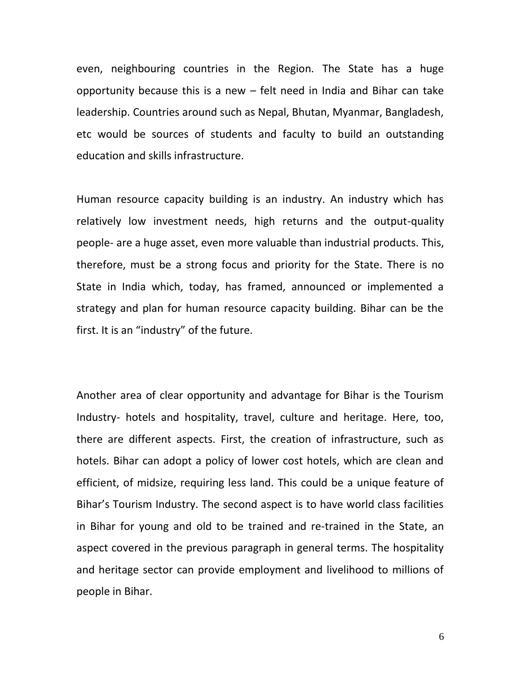even, neighbouring countries in the Region. The State has a huge opportunity because this is a new – felt need in India and Bihar can take leadership. Countries around such as Nepal, Bhutan, Myanmar, Bangladesh, etc would be sources of students and faculty to build an outstanding education and skills infrastructure.

Human resource capacity building is an industry. An industry which has relatively low investment needs, high returns and the output-quality people- are a huge asset, even more valuable than industrial products. This, therefore, must be a strong focus and priority for the State. There is no State in India which, today, has framed, announced or implemented a strategy and plan for human resource capacity building. Bihar can be the first. It is an "industry" of the future.

Another area of clear opportunity and advantage for Bihar is the Tourism Industry- hotels and hospitality, travel, culture and heritage. Here, too, there are different aspects. First, the creation of infrastructure, such as hotels. Bihar can adopt a policy of lower cost hotels, which are clean and efficient, of midsize, requiring less land. This could be a unique feature of Bihar's Tourism Industry. The second aspect is to have world class facilities in Bihar for young and old to be trained and re-trained in the State, an aspect covered in the previous paragraph in general terms. The hospitality and heritage sector can provide employment and livelihood to millions of people in Bihar.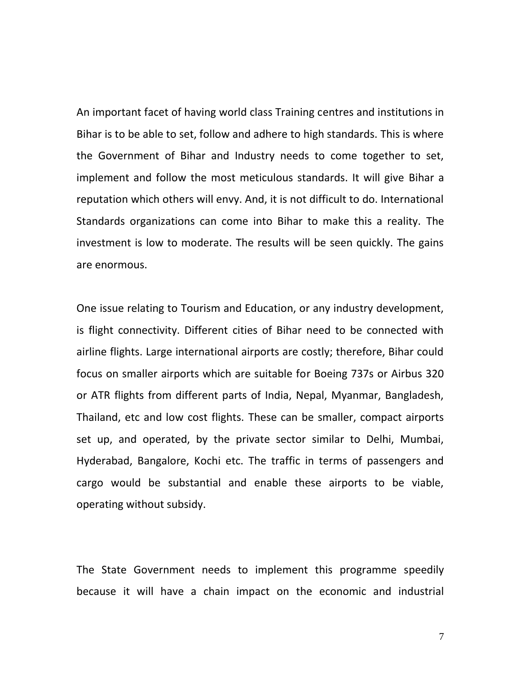An important facet of having world class Training centres and institutions in Bihar is to be able to set, follow and adhere to high standards. This is where the Government of Bihar and Industry needs to come together to set, implement and follow the most meticulous standards. It will give Bihar a reputation which others will envy. And, it is not difficult to do. International Standards organizations can come into Bihar to make this a reality. The investment is low to moderate. The results will be seen quickly. The gains are enormous.

One issue relating to Tourism and Education, or any industry development, is flight connectivity. Different cities of Bihar need to be connected with airline flights. Large international airports are costly; therefore, Bihar could focus on smaller airports which are suitable for Boeing 737s or Airbus 320 or ATR flights from different parts of India, Nepal, Myanmar, Bangladesh, Thailand, etc and low cost flights. These can be smaller, compact airports set up, and operated, by the private sector similar to Delhi, Mumbai, Hyderabad, Bangalore, Kochi etc. The traffic in terms of passengers and cargo would be substantial and enable these airports to be viable, operating without subsidy.

The State Government needs to implement this programme speedily because it will have a chain impact on the economic and industrial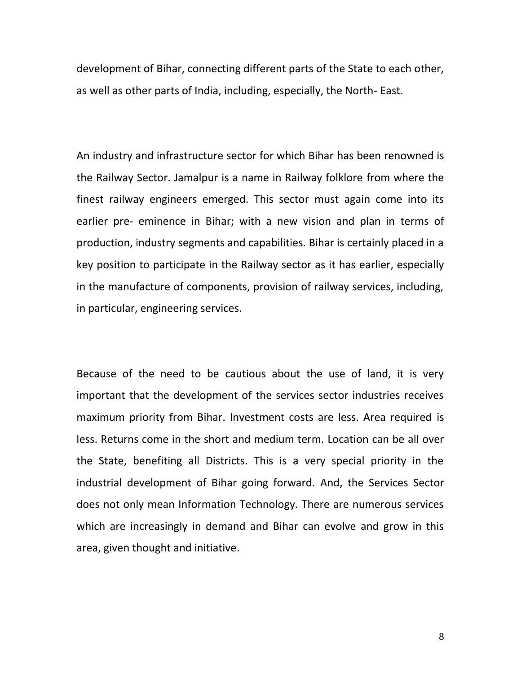development of Bihar, connecting different parts of the State to each other, as well as other parts of India, including, especially, the North- East.

An industry and infrastructure sector for which Bihar has been renowned is the Railway Sector. Jamalpur is a name in Railway folklore from where the finest railway engineers emerged. This sector must again come into its earlier pre- eminence in Bihar; with a new vision and plan in terms of production, industry segments and capabilities. Bihar is certainly placed in a key position to participate in the Railway sector as it has earlier, especially in the manufacture of components, provision of railway services, including, in particular, engineering services.

Because of the need to be cautious about the use of land, it is very important that the development of the services sector industries receives maximum priority from Bihar. Investment costs are less. Area required is less. Returns come in the short and medium term. Location can be all over the State, benefiting all Districts. This is a very special priority in the industrial development of Bihar going forward. And, the Services Sector does not only mean Information Technology. There are numerous services which are increasingly in demand and Bihar can evolve and grow in this area, given thought and initiative.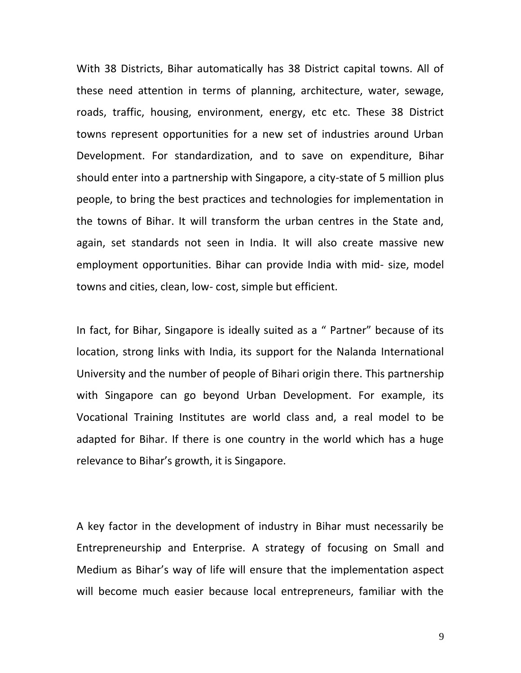With 38 Districts, Bihar automatically has 38 District capital towns. All of these need attention in terms of planning, architecture, water, sewage, roads, traffic, housing, environment, energy, etc etc. These 38 District towns represent opportunities for a new set of industries around Urban Development. For standardization, and to save on expenditure, Bihar should enter into a partnership with Singapore, a city-state of 5 million plus people, to bring the best practices and technologies for implementation in the towns of Bihar. It will transform the urban centres in the State and, again, set standards not seen in India. It will also create massive new employment opportunities. Bihar can provide India with mid- size, model towns and cities, clean, low- cost, simple but efficient.

In fact, for Bihar, Singapore is ideally suited as a " Partner" because of its location, strong links with India, its support for the Nalanda International University and the number of people of Bihari origin there. This partnership with Singapore can go beyond Urban Development. For example, its Vocational Training Institutes are world class and, a real model to be adapted for Bihar. If there is one country in the world which has a huge relevance to Bihar's growth, it is Singapore.

A key factor in the development of industry in Bihar must necessarily be Entrepreneurship and Enterprise. A strategy of focusing on Small and Medium as Bihar's way of life will ensure that the implementation aspect will become much easier because local entrepreneurs, familiar with the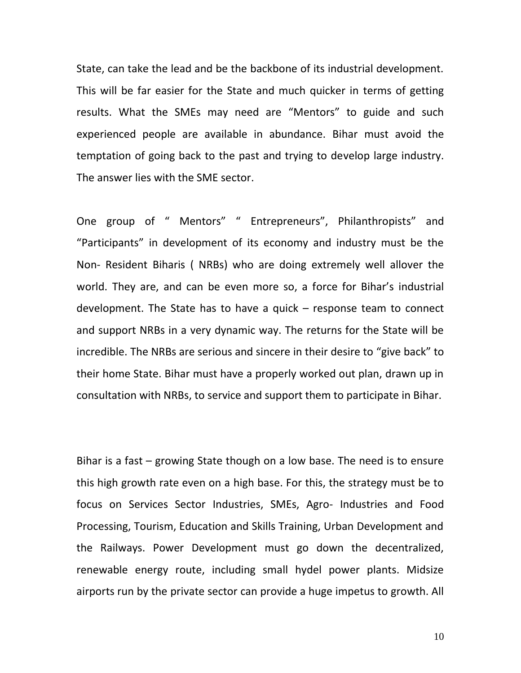State, can take the lead and be the backbone of its industrial development. This will be far easier for the State and much quicker in terms of getting results. What the SMEs may need are "Mentors" to guide and such experienced people are available in abundance. Bihar must avoid the temptation of going back to the past and trying to develop large industry. The answer lies with the SME sector.

One group of " Mentors" " Entrepreneurs", Philanthropists" and "Participants" in development of its economy and industry must be the Non- Resident Biharis ( NRBs) who are doing extremely well allover the world. They are, and can be even more so, a force for Bihar's industrial development. The State has to have a quick – response team to connect and support NRBs in a very dynamic way. The returns for the State will be incredible. The NRBs are serious and sincere in their desire to "give back" to their home State. Bihar must have a properly worked out plan, drawn up in consultation with NRBs, to service and support them to participate in Bihar.

Bihar is a fast – growing State though on a low base. The need is to ensure this high growth rate even on a high base. For this, the strategy must be to focus on Services Sector Industries, SMEs, Agro- Industries and Food Processing, Tourism, Education and Skills Training, Urban Development and the Railways. Power Development must go down the decentralized, renewable energy route, including small hydel power plants. Midsize airports run by the private sector can provide a huge impetus to growth. All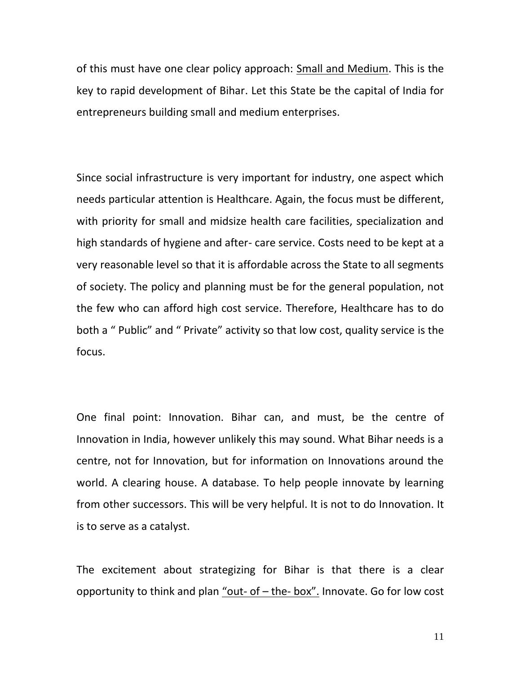of this must have one clear policy approach: Small and Medium. This is the key to rapid development of Bihar. Let this State be the capital of India for entrepreneurs building small and medium enterprises.

Since social infrastructure is very important for industry, one aspect which needs particular attention is Healthcare. Again, the focus must be different, with priority for small and midsize health care facilities, specialization and high standards of hygiene and after- care service. Costs need to be kept at a very reasonable level so that it is affordable across the State to all segments of society. The policy and planning must be for the general population, not the few who can afford high cost service. Therefore, Healthcare has to do both a " Public" and " Private" activity so that low cost, quality service is the focus.

One final point: Innovation. Bihar can, and must, be the centre of Innovation in India, however unlikely this may sound. What Bihar needs is a centre, not for Innovation, but for information on Innovations around the world. A clearing house. A database. To help people innovate by learning from other successors. This will be very helpful. It is not to do Innovation. It is to serve as a catalyst.

The excitement about strategizing for Bihar is that there is a clear opportunity to think and plan "out- of – the- box". Innovate. Go for low cost